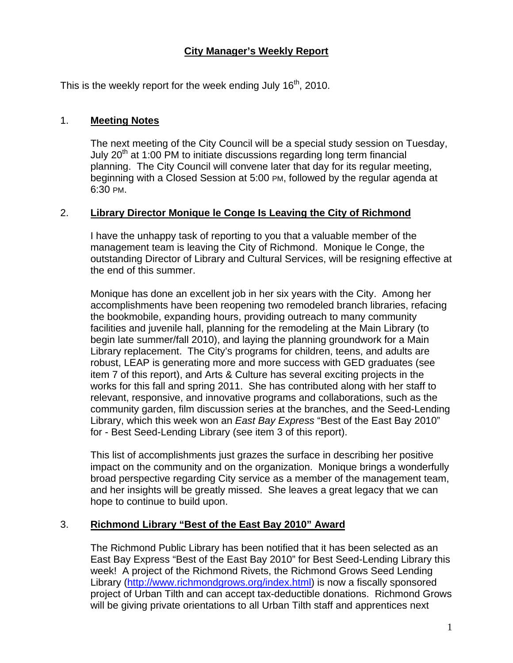## **City Manager's Weekly Report**

This is the weekly report for the week ending July  $16<sup>th</sup>$ , 2010.

#### 1. **Meeting Notes**

The next meeting of the City Council will be a special study session on Tuesday, July  $20<sup>th</sup>$  at 1:00 PM to initiate discussions regarding long term financial planning. The City Council will convene later that day for its regular meeting, beginning with a Closed Session at 5:00 PM, followed by the regular agenda at 6:30 PM.

#### 2. **Library Director Monique le Conge Is Leaving the City of Richmond**

I have the unhappy task of reporting to you that a valuable member of the management team is leaving the City of Richmond. Monique le Conge, the outstanding Director of Library and Cultural Services, will be resigning effective at the end of this summer.

Monique has done an excellent job in her six years with the City. Among her accomplishments have been reopening two remodeled branch libraries, refacing the bookmobile, expanding hours, providing outreach to many community facilities and juvenile hall, planning for the remodeling at the Main Library (to begin late summer/fall 2010), and laying the planning groundwork for a Main Library replacement. The City's programs for children, teens, and adults are robust, LEAP is generating more and more success with GED graduates (see item 7 of this report), and Arts & Culture has several exciting projects in the works for this fall and spring 2011. She has contributed along with her staff to relevant, responsive, and innovative programs and collaborations, such as the community garden, film discussion series at the branches, and the Seed-Lending Library, which this week won an *East Bay Express* "Best of the East Bay 2010" for - Best Seed-Lending Library (see item 3 of this report).

This list of accomplishments just grazes the surface in describing her positive impact on the community and on the organization. Monique brings a wonderfully broad perspective regarding City service as a member of the management team, and her insights will be greatly missed. She leaves a great legacy that we can hope to continue to build upon.

#### 3. **Richmond Library "Best of the East Bay 2010" Award**

The Richmond Public Library has been notified that it has been selected as an East Bay Express "Best of the East Bay 2010" for Best Seed-Lending Library this week! A project of the Richmond Rivets, the Richmond Grows Seed Lending Library [\(http://www.richmondgrows.org/index.html](http://www.richmondgrows.org/index.html)) is now a fiscally sponsored project of Urban Tilth and can accept tax-deductible donations. Richmond Grows will be giving private orientations to all Urban Tilth staff and apprentices next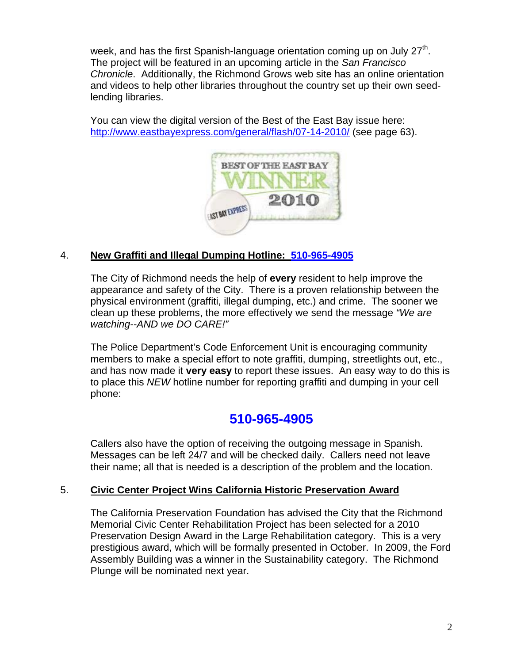week, and has the first Spanish-language orientation coming up on July  $27<sup>th</sup>$ . The project will be featured in an upcoming article in the *San Francisco Chronicle*. Additionally, the Richmond Grows web site has an online orientation and videos to help other libraries throughout the country set up their own seedlending libraries.

You can view the digital version of the Best of the East Bay issue here: <http://www.eastbayexpress.com/general/flash/07-14-2010/> (see page 63).



# 4. **New Graffiti and Illegal Dumping Hotline: 510-965-4905**

The City of Richmond needs the help of **every** resident to help improve the appearance and safety of the City. There is a proven relationship between the physical environment (graffiti, illegal dumping, etc.) and crime. The sooner we clean up these problems, the more effectively we send the message *"We are watching--AND we DO CARE!"*

The Police Department's Code Enforcement Unit is encouraging community members to make a special effort to note graffiti, dumping, streetlights out, etc., and has now made it **very easy** to report these issues. An easy way to do this is to place this *NEW* hotline number for reporting graffiti and dumping in your cell phone:

# **510-965-4905**

Callers also have the option of receiving the outgoing message in Spanish. Messages can be left 24/7 and will be checked daily. Callers need not leave their name; all that is needed is a description of the problem and the location.

## 5. **Civic Center Project Wins California Historic Preservation Award**

The California Preservation Foundation has advised the City that the Richmond Memorial Civic Center Rehabilitation Project has been selected for a 2010 Preservation Design Award in the Large Rehabilitation category. This is a very prestigious award, which will be formally presented in October. In 2009, the Ford Assembly Building was a winner in the Sustainability category. The Richmond Plunge will be nominated next year.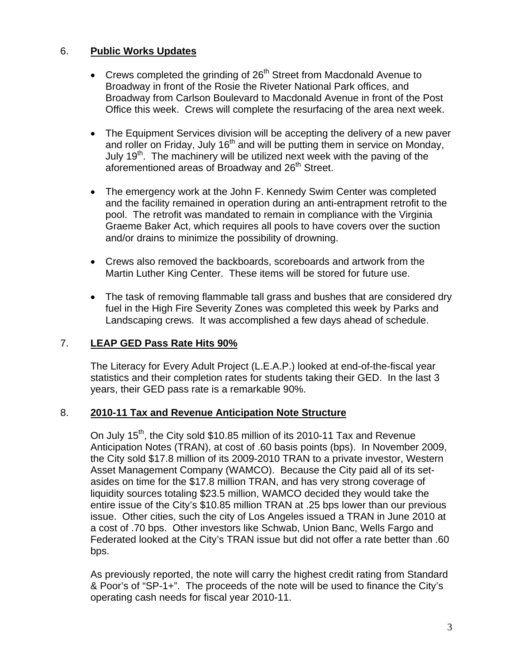## 6. **Public Works Updates**

- Crews completed the grinding of  $26<sup>th</sup>$  Street from Macdonald Avenue to Broadway in front of the Rosie the Riveter National Park offices, and Broadway from Carlson Boulevard to Macdonald Avenue in front of the Post Office this week. Crews will complete the resurfacing of the area next week.
- The Equipment Services division will be accepting the delivery of a new paver and roller on Friday, July  $16<sup>th</sup>$  and will be putting them in service on Monday, July 19<sup>th</sup>. The machinery will be utilized next week with the paving of the aforementioned areas of Broadway and 26<sup>th</sup> Street.
- The emergency work at the John F. Kennedy Swim Center was completed and the facility remained in operation during an anti-entrapment retrofit to the pool. The retrofit was mandated to remain in compliance with the Virginia Graeme Baker Act, which requires all pools to have covers over the suction and/or drains to minimize the possibility of drowning.
- Crews also removed the backboards, scoreboards and artwork from the Martin Luther King Center. These items will be stored for future use.
- The task of removing flammable tall grass and bushes that are considered dry fuel in the High Fire Severity Zones was completed this week by Parks and Landscaping crews. It was accomplished a few days ahead of schedule.

## 7. **LEAP GED Pass Rate Hits 90%**

The Literacy for Every Adult Project (L.E.A.P.) looked at end-of-the-fiscal year statistics and their completion rates for students taking their GED. In the last 3 years, their GED pass rate is a remarkable 90%.

## 8. **2010-11 Tax and Revenue Anticipation Note Structure**

On July 15<sup>th</sup>, the City sold \$10.85 million of its 2010-11 Tax and Revenue Anticipation Notes (TRAN), at cost of .60 basis points (bps). In November 2009, the City sold \$17.8 million of its 2009-2010 TRAN to a private investor, Western Asset Management Company (WAMCO). Because the City paid all of its setasides on time for the \$17.8 million TRAN, and has very strong coverage of liquidity sources totaling \$23.5 million, WAMCO decided they would take the entire issue of the City's \$10.85 million TRAN at .25 bps lower than our previous issue. Other cities, such the city of Los Angeles issued a TRAN in June 2010 at a cost of .70 bps. Other investors like Schwab, Union Banc, Wells Fargo and Federated looked at the City's TRAN issue but did not offer a rate better than .60 bps.

As previously reported, the note will carry the highest credit rating from Standard & Poor's of "SP-1+". The proceeds of the note will be used to finance the City's operating cash needs for fiscal year 2010-11.